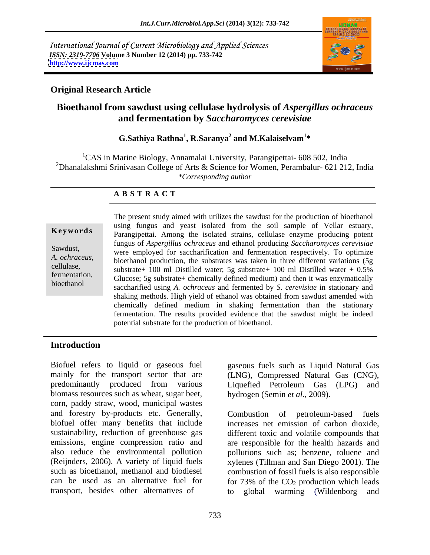International Journal of Current Microbiology and Applied Sciences *ISSN: 2319-7706* **Volume 3 Number 12 (2014) pp. 733-742 <http://www.ijcmas.com>**



## **Original Research Article**

# **Bioethanol from sawdust using cellulase hydrolysis of** *Aspergillus ochraceus* **and fermentation by** *Saccharomyces cerevisiae*

### $\mathbf{G}.\mathbf{S}$ athiya Rathna $^1$ , R.Saranya $^2$  and M.Kalaiselvam $^{1*}$  **and M.Kalaiselvam1 \***

<sup>1</sup>CAS in Marine Biology, Annamalai University, Parangipettai- 608 502, India <sup>2</sup>Dhanalakshmi Srinivasan College of Arts & Science for Women, Perambalur- 621 212, India *\*Corresponding author* 

### **A B S T R A C T**

**Keywords** Parangipettai. Among the isolated strains, cellulase enzyme producing potent Sawdust,<br>were employed for saccharification and fermentation respectively. To optimize *A. ochraceus*, bioethanol production, the substrates was taken in three different variations (5g cellulase, substrate in 100 ml Distilled water in 0.5% fermentation,<br>
Glucose; 5g substrate+ chemically defined medium) and then it was enzymatically bioethanol saccharified using *A. ochraceus* and fermented by *S. cerevisiae* in stationary and The present study aimed with utilizes the sawdust for the production of bioethanol using fungus and yeast isolated from the soil sample of Vellar estuary, fungus of *Aspergillus ochraceus* and ethanol producing *Saccharomyces cerevisiae*  substrate+ 100 ml Distilled water; 5g substrate+ 100 ml Distilled water + 0.5% shaking methods. High yield of ethanol was obtained from sawdust amended with chemically defined medium in shaking fermentation than the stationary fermentation. The results provided evidence that the sawdust might be indeed potential substrate for the production of bioethanol.

# **Introduction**

Biofuel refers to liquid or gaseous fuel gaseous fuels such as Liquid Natural Gas mainly for the transport sector that are (LNG), Compressed Natural Gas (CNG), predominantly produced from various Liquefied Petroleum Gas (LPG) and biomass resources such as wheat, sugar beet, corn, paddy straw, wood, municipal wastes and forestry by-products etc. Generally, Combustion of petroleum-based fuels transport, besides other alternatives of

hydrogen (Semin *et al*., 2009).

biofuel offer many benefits that include increases net emission of carbon dioxide, sustainability, reduction of greenhouse gas different toxic and volatile compounds that emissions, engine compression ratio and are responsible for the health hazards and also reduce the environmental pollution pollutions such as; benzene, toluene and (Reijnders, 2006). A variety of liquid fuels xylenes (Tillman and San Diego 2001). The such as bioethanol, methanol and biodiesel combustion of fossil fuels is also responsible can be used as an alternative fuel for  $\frac{73\%}{6}$  of the CO<sub>2</sub> production which leads Combustion of petroleum-based fuels global warming (Wildenborg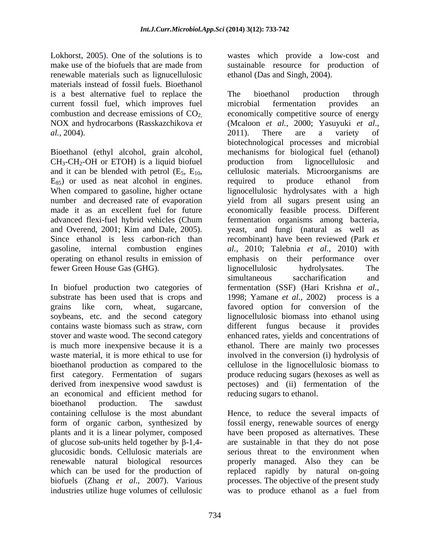renewable materials such as lignucellulosic materials instead of fossil fuels. Bioethanol is a best alternative fuel to replace the The bioethanol production through current fossil fuel, which improves fuel

 $CH_3-CH_2-OH$  or ETOH) is a liquid biofuel production from lignocellulosic and and it can be blended with petrol  $(E_5, E_{10}$ , ellulosic materials. Microorganisms are operating on ethanol results in emission of emphasis on their performance over

substrate has been used that is crops and 1998; Yamane *et al.*, 2002) process is a an economical and efficient method for bioethanol production. The sawdust containing cellulose is the most abundant Hence, to reduce the several impacts of form of organic carbon, synthesized by fossil energy, renewable sources of energy plants and it is a linear polymer, composed have been proposed as alternatives. These of glucose sub-units held together by  $\beta$ -1,4- are sustainable in that they do not pose glucosidic bonds. Cellulosic materials are serious threat to the environment when renewable natural biological resources properly managed. Also they can be which can be used for the production of replaced rapidly by natural on-going biofuels (Zhang *et al*., 2007). Various industries utilize huge volumes of cellulosic was to produce ethanol as a fuel from

Lokhorst, 2005). One of the solutions is to wastes which provide a low-cost and make use of the biofuels that are made from sustainable resource for production of ethanol (Das and Singh, 2004).

combustion and decrease emissions of CO<sub>2,</sub> economically competitive source of energy NOX and hydrocarbons (Rasskazchikova *et al., 2000*; Yasuyuki *et al., al.*, 2004).<br> **al., 2004).** 2011). There are a variety of<br>
biotechnological processes and microbial<br>
Bioethanol (ethyl alcohol, grain alcohol, mechanisms for biological fuel (ethanol) and it can be blended with petrol  $(E_5, E_{10}$ , cellulosic materials. Microorganisms are  $E_{85}$  or used as neat alcohol in engines. required to produce ethanol from When compared to gasoline, higher octane lignocellulosic hydrolysates with a high number and decreased rate of evaporation yield from all sugars present using an made it as an excellent fuel for future economically feasible process. Different advanced flexi-fuel hybrid vehicles (Chum fermentation organisms among bacteria, and Overend, 2001; Kim and Dale, 2005). yeast, and fungi (natural as well as Since ethanol is less carbon-rich than recombinant) have been reviewed (Park *et*  gasoline, internal combustion engines *al.,* 2010; Talebnia *et al.,* 2010) with fewer Green House Gas (GHG). Iignocellulosic hydrolysates. The<br>
simultaneous saccharification and<br>
In biofuel production two categories of fermentation (SSF) (Hari Krishna *et al.*, grains like corn, wheat, sugarcane, favored option for conversion of the soybeans, etc. and the second category lignocellulosic biomass into ethanol using contains waste biomass such as straw, corn different fungus because it provides stover and waste wood. The second category enhanced rates, yields and concentrations of is much more inexpensive because it is a ethanol. There are mainly two processes waste material, it is more ethical to use for involved in the conversion (i) hydrolysis of bioethanol production as compared to the cellulose in the lignocellulosic biomass to first category. Fermentation of sugars produce reducing sugars (hexoses as well as derived from inexpensive wood sawdust is pectoses) and (ii) fermentation of the The bioethanol production through microbial fermentation provides an economically competitive source of energy (Mcaloon *et al.*, 2000; Yasuyuki *et al*., 2011). There are <sup>a</sup> variety of biotechnological processes and microbial mechanisms for biological fuel (ethanol) production from lignocellulosic and cellulosic materials. Microorganisms are required to produce ethanol from emphasis on their performance lignocellulosic hydrolysates. The simultaneous saccharification and fermentation (SSF) (Hari Krishna *et al.,* 1998; Yamane *et al.*, 2002) reducing sugars to ethanol.

processes. The objective of the present study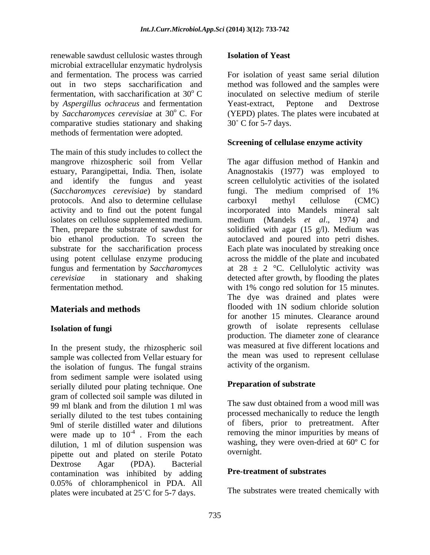renewable sawdust cellulosic wastes through **Isolation of Yeast** microbial extracellular enzymatic hydrolysis and fermentation. The process was carried For isolation of yeast same serial dilution out in two steps saccharification and method was followed and the samples were fermentation, with saccharification at  $30^{\circ}$  C inoculated on selective medium of sterile by *Aspergillus ochraceus* and fermentation by *Saccharomyces cerevisiae* at 30° C. For (YEPD) plates. The plates were incubated at comparative studies stationary and shaking  $30^{\circ}$  C for 5-7 days. methods of fermentation were adopted.

The main of this study includes to collect the mangrove rhizospheric soil from Vellar The agar diffusion method of Hankin and estuary, Parangipettai, India*.* Then, isolate and identify the fungus and yeast screen cellulolytic activities of the isolated (*Saccharomyces cerevisiae*) by standard protocols. And also to determine cellulase carboxyl methyl cellulose (CMC) activity and to find out the potent fungal incorporated into Mandels mineral salt isolates on cellulose supplemented medium.<br>Then, prepare the substrate of sawdust for Then, prepare the substrate of sawdust for solidified with agar (15 g/l). Medium was bio ethanol production. To screen the autoclaved and poured into petri dishes. substrate for the saccharification process Each plate was inoculated by streaking once using potent cellulase enzyme producing across the middle of the plate and incubated fungus and fermentation by *Saccharomyces* at 28 ± 2 °C. Cellulolytic activity was *cerevisiae* in stationary and shaking detected after growth, by flooding the plates fermentation method. with 1% congo red solution for 15 minutes.

In the present study, the rhizospheric soil sample was collected from Vellar estuary for the isolation of fungus. The fungal strains from sediment sample were isolated using serially diluted pour plating technique. One gram of collected soil sample was diluted in 99 ml blank and from the dilution 1 ml was serially diluted to the test tubes containing 9ml of sterile distilled water and dilutions were made up to  $10^{-4}$ . From the each dilution, 1 ml of dilution suspension was washing, t<br>ninette out and plated on sterile Potato overnight. pipette out and plated on sterile Potato<br>Dextrose Agar (PDA). Bacterial Dextrose Agar (PDA). Bacterial contamination was inhibited by adding 0.05% of chloramphenicol in PDA. All plates were incubated at  $25^{\circ}$ C for 5-7 days.

### **Isolation of Yeast**

inoculated on selective medium of sterile Yeast-extract, Peptone and Dextrose  $30^{\circ}$  C for 5-7 days.

### **Screening of cellulase enzyme activity**

**Materials and methods** flooded with 1N sodium chloride solution **Isolation of fungi**<br>
growth of isolate represents cellulase Anagnostakis (1977) was employed to fungi. The medium comprised of 1% carboxyl methyl cellulose (CMC) medium (Mandels *et al*., 1974) and The dye was drained and plates were for another 15 minutes. Clearance around production. The diameter zone of clearance was measured at five different locations and the mean was used to represent cellulase activity of the organism.

### **Preparation of substrate**

<sup>-4</sup> From the each removing the minor impurities by means of . From the each removing the minor impurities by means of The saw dust obtained from a wood mill was processed mechanically to reduce the length of fibers, prior to pretreatment. After washing, they were oven-dried at 60º C for overnight.

### **Pre-treatment of substrates**

The substrates were treated chemically with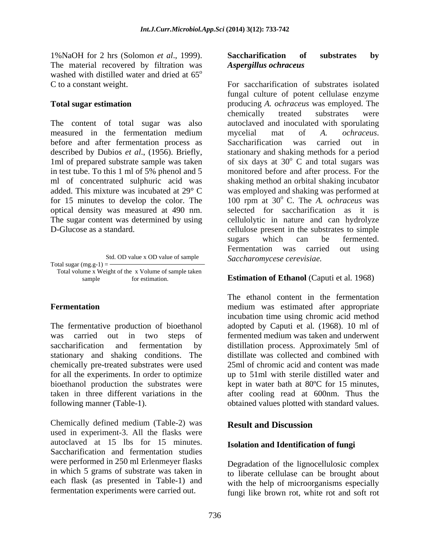1%NaOH for 2 hrs (Solomon *et al*., 1999). The material recovered by filtration was washed with distilled water and dried at  $65^{\circ}$ washed with distilled water and dried at  $65^{\circ}$ <br>C to a constant weight. For saccharification of substrates isolated

The content of total sugar was also before and after fermentation process as Saccharification was carried out in optical density was measured at 490 nm.

Std. OD value x OD value of sample Saccharomycese cerevisiae. Total sugar  $(mg.g-1) =$ Total volume x Weight of the x Volume of sample taken

sample for estimation. **Estimation of Ethanol** (Caputi et al. 1968)

The fermentative production of bioethanol stationary and shaking conditions. The chemically pre-treated substrates were used for all the experiments. In order to optimize taken in three different variations in the following manner (Table-1). obtained values plotted with standard values.

Chemically defined medium (Table-2) was **Result and Discussion** used in experiment-3. All the flasks were autoclaved at 15 lbs for 15 minutes. **Isolation and Identification of fungi**<br>Saccharification and fermentation studies were performed in 250 ml Erlenmeyer flasks in which 5 grams of substrate was taken in to liberate cellulase can be brought about each flask (as presented in Table-1) and

### **Saccharification of substrates by**  *Aspergillus ochraceus*

**Total sugar estimation** producing *A. ochraceus* was employed. The measured in the fermentation medium mycelial mat of A. *ochraceus*. described by Dubios *et al.*, (1956). Briefly, stationary and shaking methods for a period 1ml of prepared substrate sample was taken of six days at  $30^{\circ}$  C and total sugars was in test tube. To this 1 ml of 5% phenol and 5 monitored before and after process. For the ml of concentrated sulphuric acid was shaking method an orbital shaking incubator added. This mixture was incubated at 29° C was employed and shaking was performed at for 15 minutes to develop the color. The  $100$  rpm at  $30^{\circ}$  C. The *A. ochraceus* was The sugar content was determined by using cellulolytic in nature and can hydrolyze D-Glucose as a standard. cellulose present in the substrates to simple For saccharification of substrates isolated fungal culture of potent cellulase enzyme chemically treated substrates were autoclaved and inoculated with sporulating mycelial mat of *A. ochraceus*. Saccharification was carried out in  $\overline{C}$  and total sugars was selected for saccharification as it is sugars which can be fermented. Fermentation was carried out using

**Fermentation Example 2018 Fermentation Example 2018 M** and **Example 2018 M** and **EXAMPLE 2019 M** and **EXAMPLE 2019 M** and **EXAMPLE 2019 M** and **EXAMPLE 2019 M** and **EXAMPLE 2019 M** and **EXAMPLE 2019** was carried out in two steps of fermented medium was taken and underwent saccharification and fermentation by distillation process. Approximately 5ml of bioethanol production the substrates were kept in water bath at 80ºC for 15 minutes, The ethanol content in the fermentation incubation time using chromic acid method adopted by Caputi et al*.* (1968). 10 ml of distillate was collected and combined with 25ml of chromic acid and content was made up to 51ml with sterile distilled water and after cooling read at 600nm. Thus the

# **Result and Discussion**

# **Isolation and Identification of fungi**

fermentation experiments were carried out. fungi like brown rot, white rot and soft rotDegradation of the lignocellulosic complex with the help of microorganisms especially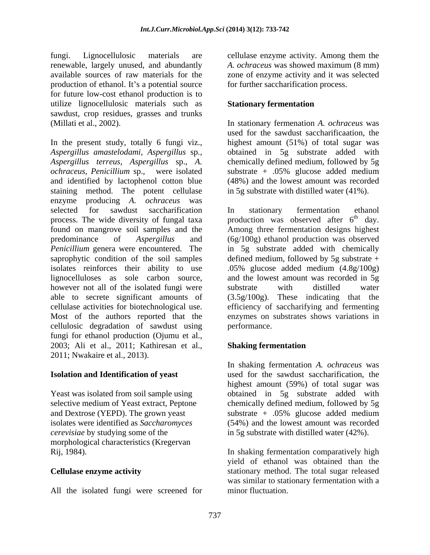fungi. Lignocellulosic materials are cellulase enzyme activity. Among them the renewable, largely unused, and abundantly *A. ochraceus* was showed maximum (8 mm) available sources of raw materials for the zone of enzyme activity and it was selected production of ethanol. It's a potential source for future low-cost ethanol production is to utilize lignocellulosic materials such as **Stationary fermentation** sawdust, crop residues, grasses and trunks

In the present study, totally 6 fungi viz., *Aspergillus amastelodami, Aspergillus* sp*., Aspergillus terreus, Aspergillus* sp., *A.* chemically defined medium, followed by 5g *ochraceus, Penicillium* sp., were isolated and identified by lactophenol cotton blue staining method. The potent cellulase enzyme producing *A. ochraceus* was selected for sawdust saccharification In stationary fermentation ethanol process. The wide diversity of fungal taxa found on mangrove soil samples and the Among three fermentation designs highest predominance of *Aspergillus* and (6g/100g) ethanol production was observed *Penicillium* genera were encountered. The in 5g substrate added with chemically saprophytic condition of the soil samples defined medium, followed by 5g substrate + isolates reinforces their ability to use .05% glucose added medium (4.8g/100g) lignocelluloses as sole carbon source, and the lowest amount was recorded in 5g however not all of the isolated fungi were substrate with distilled water able to secrete significant amounts of (3.5g/100g). These indicating that the cellulase activities for biotechnological use. efficiency of saccharifying and fermenting Most of the authors reported that the enzymes on substrates shows variations in cellulosic degradation of sawdust using fungi for ethanol production (Ojumu et al., 2003; Ali et al., 2011; Kathiresan et al., 2011; Nwakaire et al., 2013).

morphological characteristics (Kregervan

All the isolated fungi were screened for minor fluctuation.

for further saccharification process.

### **Stationary fermentation**

(Millati et al., 2002). In stationary fermenation *A. ochraceus* was used for the sawdust saccharificaation, the highest amount (51%) of total sugar was obtained in 5g substrate added with substrate + .05% glucose added medium (48%) and the lowest amount was recorded in 5g substrate with distilled water (41%).

> In stationary fermentation ethanol production was observed after  $6<sup>th</sup>$  day.  $\phi$  day. substrate with distilled water performance.

# **Shaking fermentation**

**Isolation and Identification of yeast** used for the sawdust saccharification, the Yeast was isolated from soil sample using bobtained in 5g substrate added with selective medium of Yeast extract, Peptone chemically defined medium, followed by 5g and Dextrose (YEPD). The grown yeast substrate + .05% glucose added medium isolates were identified as *Saccharomyces* (54%) and the lowest amount was recorded *cerevisiae* by studying some of the in 5g substrate with distilled water (42%). In shaking fermentation *A. ochraceus* was highest amount (59%) of total sugar was

Rij, 1984). In shaking fermentation comparatively high **Cellulase enzyme activity** stationary method. The total sugar released yield of ethanol was obtained than the was similar to stationary fermentation with a minor fluctuation.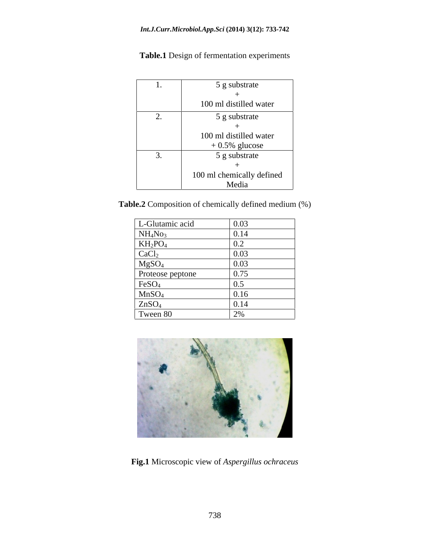| . .      | 5 g substrate                     |
|----------|-----------------------------------|
|          | 100 ml distilled water            |
| <u>.</u> | 5 g substrate                     |
|          | 100 ml distilled water            |
| J.       | $+0.5\%$ glucose<br>5 g substrate |
|          | 100 ml chemically defined         |
|          | Media                             |

**Table.1** Design of fermentation experiments

**Table.2** Composition of chemically defined medium (%)

| L-Glutamic acid                                | 0.03             |
|------------------------------------------------|------------------|
|                                                | 0.11             |
| NH <sub>4</sub> No <sub>3</sub>                | J. 14            |
|                                                |                  |
| $\frac{\text{KH}_2\text{PO}_4}{\text{CaCl}_2}$ | 0.02             |
| MgSO <sub>4</sub>                              | $\Omega$<br>U.UJ |
| Proteose peptone                               | 0.75             |
| FeSO <sub>4</sub>                              |                  |
| MnSO <sub>4</sub>                              |                  |
| ZnSO <sub>4</sub>                              | U.14             |
| Tween 80                                       | $\sim$ $\sim$    |



**Fig.1** Microscopic view of *Aspergillus ochraceus*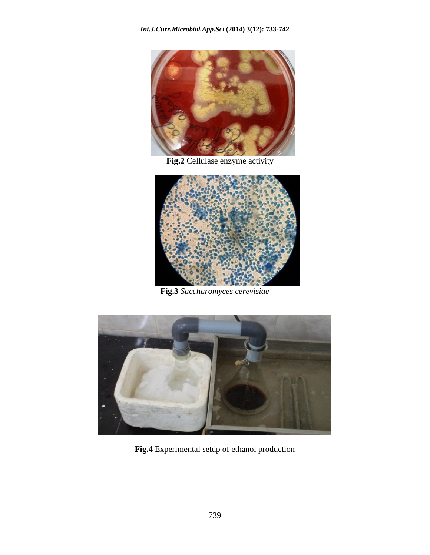

**Fig.2** Cellulase enzyme activity



**Fig.3** *Saccharomyces cerevisiae*



**Fig.4** Experimental setup of ethanol production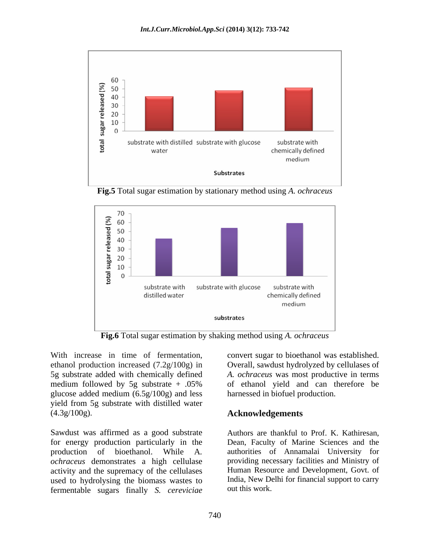

**Fig.5** Total sugar estimation by stationary method using *A. ochraceus*



**Fig.6** Total sugar estimation by shaking method using *A. ochraceus*

With increase in time of fermentation, convert sugar to bioethanol was established. ethanol production increased (7.2g/100g) in Overall, sawdust hydrolyzed by cellulases of 5g substrate added with chemically defined *A. ochraceus* was most productive in terms medium followed by 5g substrate + .05% of ethanol yield and can therefore be glucose added medium (6.5g/100g) and less yield from 5g substrate with distilled water

(4.3g/100g).<br>Sawdust was affirmed as a good substrate Authors are thankful to Prof. K. Kathiresan, for energy production particularly in the activity and the supremacy of the cellulases used to hydrolysing the biomass wastes to fermentable sugars finally *S. cereviciae*

convert sugar to bioethanol was established.<br>Overall, sawdust hydrolyzed by cellulases of harnessed in biofuel production.

### **Acknowledgements**

production of bioethanol. While <sup>A</sup>*. ochraceus* demonstrates <sup>a</sup> high cellulase Authors are thankful to Prof. K. Kathiresan, Dean, Faculty of Marine Sciences and the authorities of Annamalai University for providing necessary facilities and Ministry of Human Resource and Development, Govt. of India, New Delhi for financial support to carry out this work.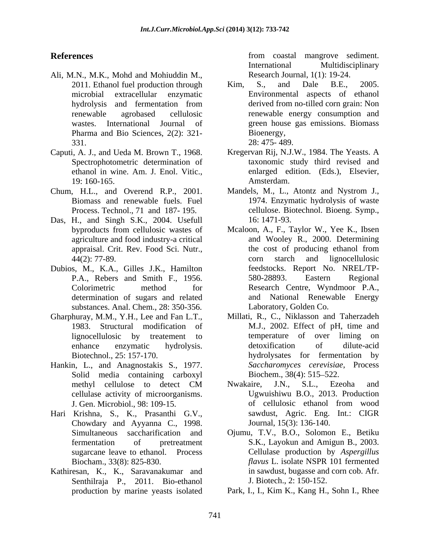- Ali, M.N., M.K., Mohd and Mohiuddin M., Pharma and Bio Sciences, 2(2): 321-<br>331. 28: 475- 489.  $28:475-489.$
- Caputi, A. J., and Ueda M. Brown T., 1968.
- 
- Das, H., and Singh S.K., 2004. Usefull 16:1471-93.
- Dubios, M., K.A., Gilles J.K., Hamilton substances. Anal. Chem., 28: 350-356.
- Gharphuray, M.M., Y.H., Lee and Fan L.T.,
- Hankin, L., and Anagnostakis S., 1977. Solid media containing carboxyl Biochem., 38(4): 515–522. cellulase activity of microorganisms.
- Hari Krishna, S., K., Prasanthi G.V., Chowdary and Ayyanna C., 1998.
- Kathiresan, K., K., Saravanakumar and Senthilraja P., 2011. Bio-ethanol production by marine yeasts isolated

**References** from coastal mangrove sediment. International Multidisciplinary Research Journal, 1(1): 19-24.

- 2011. Ethanol fuel production through Kim, S., and Dale B.E., 2005. microbial extracellular enzymatic Environmental aspects of ethanol hydrolysis and fermentation from derived from no-tilled corn grain: Non renewable agrobased cellulosic renewable energy consumption and wastes. International Journal of green house gas emissions. Biomass Kim, S., and Dale B.E., 2005. derived from no-tilled corn grain: Non Bioenergy, 28: 475- 489.
- Spectrophotometric determination of taxonomic study third revised and ethanol in wine. Am. J. Enol. Vitic., enlarged edition. (Eds.), Elsevier, 19: 160-165. Kregervan Rij, N.J.W., 1984. The Yeasts. A enlarged edition. (Eds.), Elsevier, Amsterdam.
- Chum, H.L., and Overend R.P., 2001. Mandels, M., L., Atontz and Nystrom J., Biomass and renewable fuels. Fuel 1974. Enzymatic hydrolysis of waste Process. Technol., 71 and 187- 195. cellulose. Biotechnol. Bioeng. Symp., 16: 1471-93.
	- byproducts from cellulosic wastes of Mcaloon, A., F., Taylor W., Yee K., Ibsen agriculture and food industry-a critical and Wooley R., 2000. Determining appraisal. Crit. Rev. Food Sci. Nutr., 44(2): 77-89. corn starch and lignocellulosic P.A., Rebers and Smith F., 1956. Colorimetric method for Research Centre, Wyndmoor P.A., determination of sugars and related and National Renewable Energy the cost of producing ethanol from corn starch and lignocellulosic feedstocks. Report No. NREL/TP- 580-28893. Eastern Regional Laboratory, Golden Co.
	- 1983. Structural modification of M.J., 2002. Effect of pH, time and lignocellulosic by treatement to enhance enzymatic hydrolysis. Biotechnol., 25: 157-170. hydrolysates for fermentation by Millati, R., C., Niklasson and Taherzadeh temperature of over liming detoxification of dilute-acid *Saccharomyces cerevisiae*, Process Biochem., 38(4): 515–522.
	- methyl cellulose to detect CM Mwakaire, J.N., S.L., Ezeoha and J. Gen. Microbiol., 98: 109-15. Nwakaire, J.N., S.L., Ezeoha and Ugwuishiwu B.O., 2013. Production of cellulosic ethanol from wood sawdust, Agric. Eng. Int.: CIGR Journal, 15(3): 136-140.
	- Simultaneous saccharification and Ojumu, T.V., B.O., Solomon E., Betiku fermentation of pretreatment S.K., Layokun and Amigun B., 2003. sugarcane leave to ethanol. Process Cellulase production by *Aspergillus*  Biocham., 33(8): 825-830. *flavus* L. isolate NSPR 101 fermented in sawdust, bugasse and corn cob. Afr. J. Biotech., 2: 150-152.
		- Park, I., I., Kim K., Kang H., Sohn I., Rhee